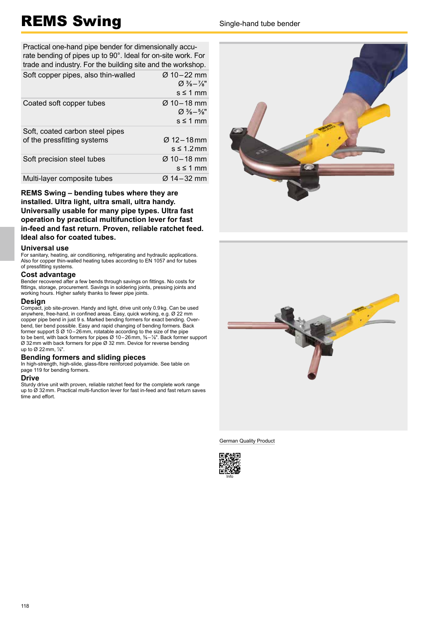# REMS Swing Sample-hand tube bender

Practical one-hand pipe bender for dimensionally accurate bending of pipes up to 90°. Ideal for on-site work. For trade and industry. For the building site and the workshop. Soft copper pipes, also thin-walled  $\sigma$  10 – 22 mm

|                                 | $\varnothing \frac{3}{8} - \frac{7}{8}$ " |
|---------------------------------|-------------------------------------------|
|                                 | $s \leq 1$ mm                             |
| Coated soft copper tubes        | Ø 10-18 mm                                |
|                                 | $\varnothing \frac{3}{8} - \frac{5}{8}$ " |
|                                 | $s \leq 1$ mm                             |
| Soft, coated carbon steel pipes |                                           |
| of the pressfitting systems     | $\varnothing$ 12 – 18 mm                  |
|                                 | $s \leq 1.2$ mm                           |
| Soft precision steel tubes      | $Ø$ 10 – 18 mm                            |
|                                 | $s \leq 1$ mm                             |
| Multi-layer composite tubes     | Ø 14-32 mm                                |

**REMS Swing – bending tubes where they are installed. Ultra light, ultra small, ultra handy. Universally usable for many pipe types. Ultra fast operation by practical multifunction lever for fast in-feed and fast return. Proven, reliable ratchet feed. Ideal also for coated tubes.** 

#### **Universal use**

For sanitary, heating, air conditioning, refrigerating and hydraulic applications. Also for copper thin-walled heating tubes according to EN 1057 and for tubes of pressfitting systems.

### **Cost advantage**

Bender recovered after a few bends through savings on fittings. No costs for fittings, storage, procurement. Savings in soldering joints, pressing joints and working hours. Higher safety thanks to fewer pipe joints.

### **Design**

Compact, job site-proven. Handy and light, drive unit only 0.9 kg. Can be used anywhere, free-hand, in confined areas. Easy, quick working, e.g. Ø 22 mm copper pipe bend in just 9 s. Marked bending formers for exact bending. Overbend, tier bend possible. Easy and rapid changing of bending formers. Back former support  $S \varnothing$  10 – 26 mm, rotatable according to the size of the pipe to be bent, with back formers for pipes Ø 10 – 26 mm,  $\frac{3}{8}$  –  $\frac{7}{8}$ ". Back former support Ø 32 mm with back formers for pipe Ø 32 mm. Device for reverse bending up to Ø 22 mm, ⅞".

### **Bending formers and sliding pieces**

In high-strength, high-slide, glass-fibre reinforced polyamide. See table on page 119 for bending formers.

#### **Drive**

Sturdy drive unit with proven, reliable ratchet feed for the complete work range up to Ø 32 mm. Practical multi-function lever for fast in-feed and fast return saves time and effort.





German Quality Product